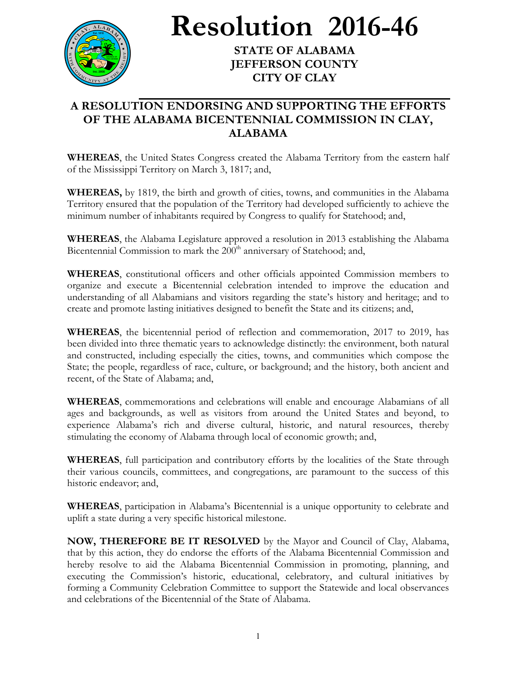

**Resolution 2016-46**

**STATE OF ALABAMA JEFFERSON COUNTY CITY OF CLAY**

## **A RESOLUTION ENDORSING AND SUPPORTING THE EFFORTS OF THE ALABAMA BICENTENNIAL COMMISSION IN CLAY, ALABAMA**

**WHEREAS**, the United States Congress created the Alabama Territory from the eastern half of the Mississippi Territory on March 3, 1817; and,

**WHEREAS,** by 1819, the birth and growth of cities, towns, and communities in the Alabama Territory ensured that the population of the Territory had developed sufficiently to achieve the minimum number of inhabitants required by Congress to qualify for Statehood; and,

**WHEREAS**, the Alabama Legislature approved a resolution in 2013 establishing the Alabama Bicentennial Commission to mark the 200<sup>th</sup> anniversary of Statehood; and,

**WHEREAS**, constitutional officers and other officials appointed Commission members to organize and execute a Bicentennial celebration intended to improve the education and understanding of all Alabamians and visitors regarding the state's history and heritage; and to create and promote lasting initiatives designed to benefit the State and its citizens; and,

**WHEREAS**, the bicentennial period of reflection and commemoration, 2017 to 2019, has been divided into three thematic years to acknowledge distinctly: the environment, both natural and constructed, including especially the cities, towns, and communities which compose the State; the people, regardless of race, culture, or background; and the history, both ancient and recent, of the State of Alabama; and,

**WHEREAS**, commemorations and celebrations will enable and encourage Alabamians of all ages and backgrounds, as well as visitors from around the United States and beyond, to experience Alabama's rich and diverse cultural, historic, and natural resources, thereby stimulating the economy of Alabama through local of economic growth; and,

**WHEREAS**, full participation and contributory efforts by the localities of the State through their various councils, committees, and congregations, are paramount to the success of this historic endeavor; and,

**WHEREAS**, participation in Alabama's Bicentennial is a unique opportunity to celebrate and uplift a state during a very specific historical milestone.

**NOW, THEREFORE BE IT RESOLVED** by the Mayor and Council of Clay, Alabama, that by this action, they do endorse the efforts of the Alabama Bicentennial Commission and hereby resolve to aid the Alabama Bicentennial Commission in promoting, planning, and executing the Commission's historic, educational, celebratory, and cultural initiatives by forming a Community Celebration Committee to support the Statewide and local observances and celebrations of the Bicentennial of the State of Alabama.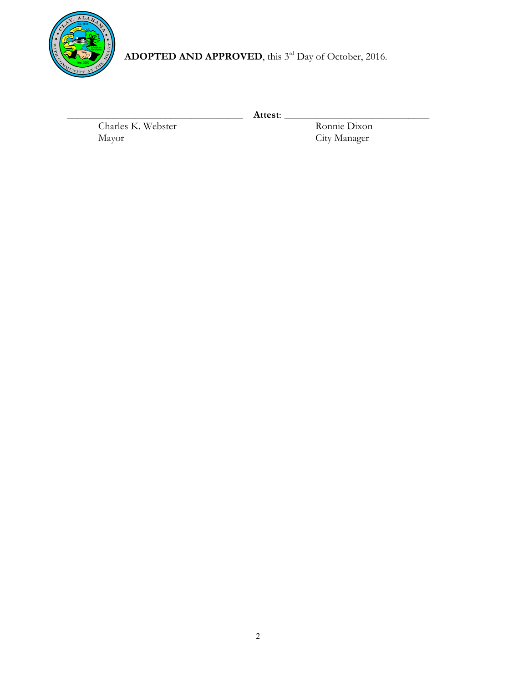

ADOPTED AND APPROVED, this 3<sup>rd</sup> Day of October, 2016.

Charles K. Webster<br>Mayor

\_\_\_\_\_\_\_\_\_\_\_\_\_\_\_\_\_\_\_\_\_\_\_\_\_\_\_\_\_\_\_\_\_\_ **Attest**: \_\_\_\_\_\_\_\_\_\_\_\_\_\_\_\_\_\_\_\_\_\_\_\_\_\_\_\_ City Manager